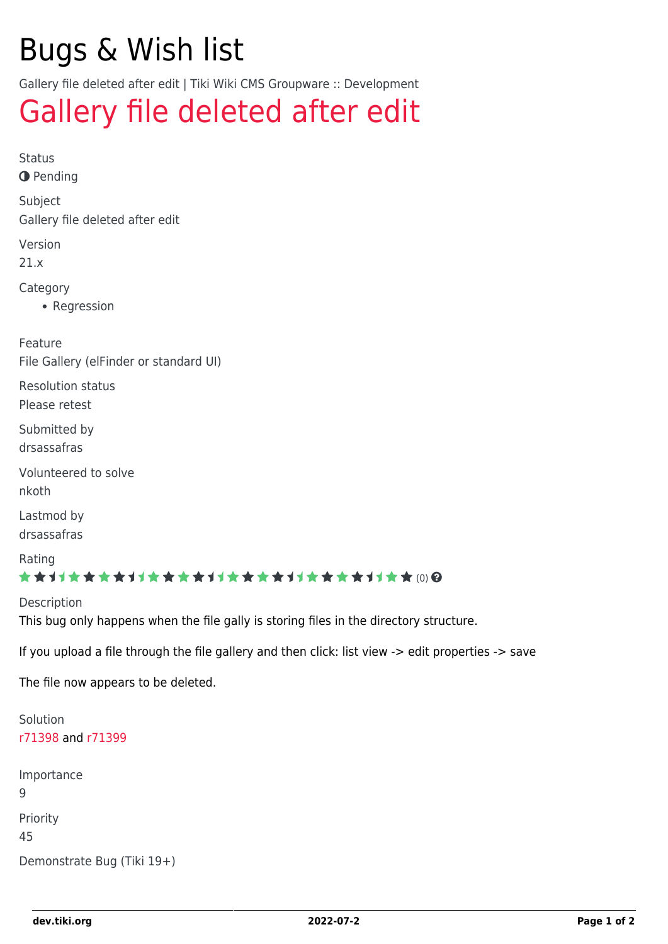## Bugs & Wish list

Gallery file deleted after edit | Tiki Wiki CMS Groupware :: Development

## [Gallery file deleted after edit](https://dev.tiki.org/item7127-Gallery-file-deleted-after-edit)

Status **O** Pending Subject Gallery file deleted after edit Version 21.x Category • Regression Feature File Gallery (elFinder or standard UI) Resolution status Please retest Submitted by drsassafras Volunteered to solve nkoth Lastmod by drsassafras Rating \*\*\*\*\*\*\*\*\*\*\*\*\*\*\*\*\*\*\*\*\*\*\*\*\*\*\*\*\*\* Description This bug only happens when the file gally is storing files in the directory structure.

If you upload a file through the file gallery and then click: list view -> edit properties -> save

The file now appears to be deleted.

Solution [r71398](http://sourceforge.net/p/tikiwiki/code/71398) and [r71399](http://sourceforge.net/p/tikiwiki/code/71399) Importance 9 Priority 45 Demonstrate Bug (Tiki 19+)